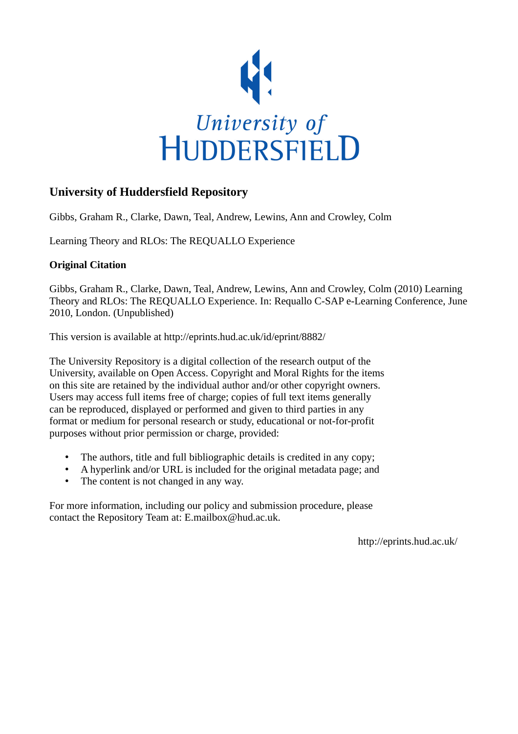

#### **University of Huddersfield Repository**

Gibbs, Graham R., Clarke, Dawn, Teal, Andrew, Lewins, Ann and Crowley, Colm

Learning Theory and RLOs: The REQUALLO Experience

#### **Original Citation**

Gibbs, Graham R., Clarke, Dawn, Teal, Andrew, Lewins, Ann and Crowley, Colm (2010) Learning Theory and RLOs: The REQUALLO Experience. In: Requallo C-SAP e-Learning Conference, June 2010, London. (Unpublished)

This version is available at http://eprints.hud.ac.uk/id/eprint/8882/

The University Repository is a digital collection of the research output of the University, available on Open Access. Copyright and Moral Rights for the items on this site are retained by the individual author and/or other copyright owners. Users may access full items free of charge; copies of full text items generally can be reproduced, displayed or performed and given to third parties in any format or medium for personal research or study, educational or not-for-profit purposes without prior permission or charge, provided:

- The authors, title and full bibliographic details is credited in any copy;
- A hyperlink and/or URL is included for the original metadata page; and
- The content is not changed in any way.

For more information, including our policy and submission procedure, please contact the Repository Team at: E.mailbox@hud.ac.uk.

http://eprints.hud.ac.uk/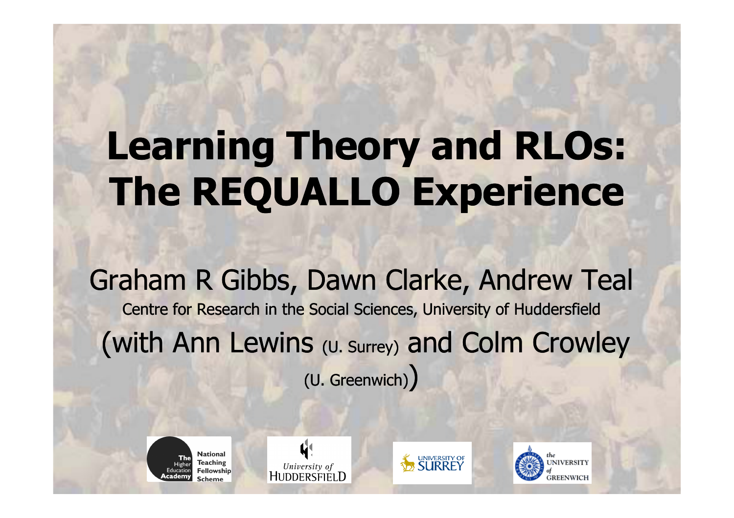# Learning Theory and RLOs: The REQUALLO Experience

Graham R Gibbs, Dawn Clarke, Andrew TealCentre for Research in the Social Sciences, University of Huddersfield(with Ann Lewins (U. Surrey) and Colm Crowley (U. Greenwich))



44 University of HUDDERSFIELD



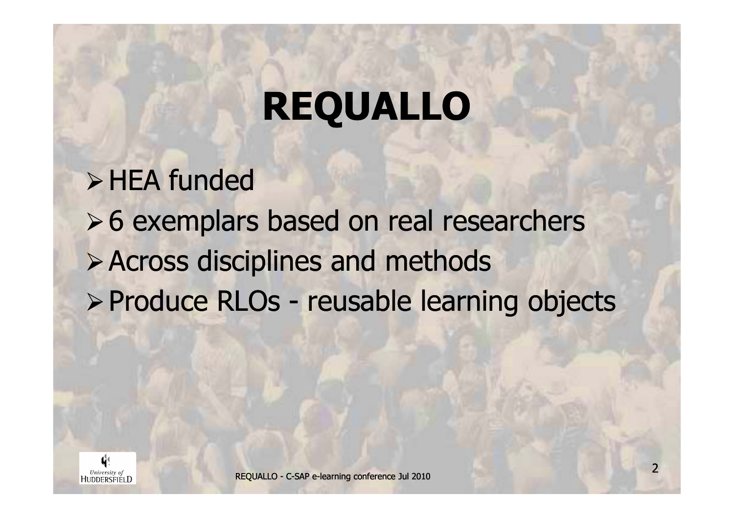# REQUALLO

 $\triangleright$  HEA funded **≻6 exemplars based on real researchers** Across disciplines and methodsProduce RLOs - reusable learning objects

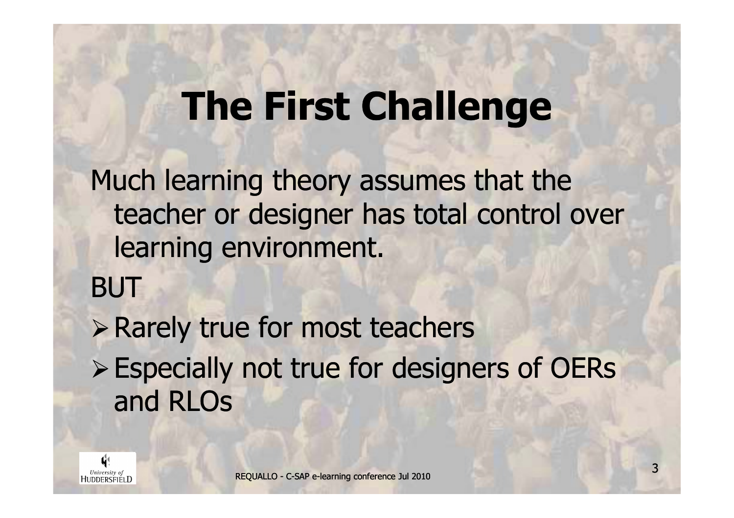## The First Challenge

Much learning theory assumes that the teacher or designer has total control over learning environment.

BUT

**> Rarely true for most teachers** 

Especially not true for designers of OERs and RLOs

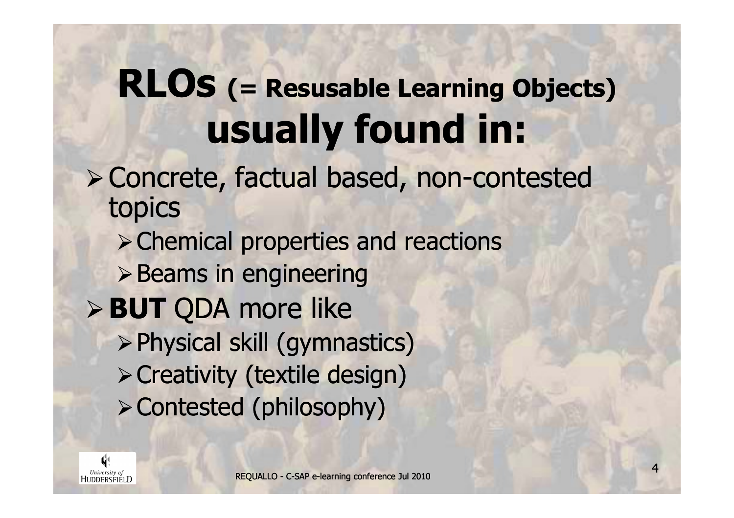#### RLOs (= Resusable Learning Objects)usually found in:

#### Concrete, factual based, non-contested topics

Chemical properties and reactions

 $\triangleright$  Beams in engineering

- **BUT QDA more like** 
	- Physical skill (gymnastics)Creativity (textile design)Contested (philosophy)

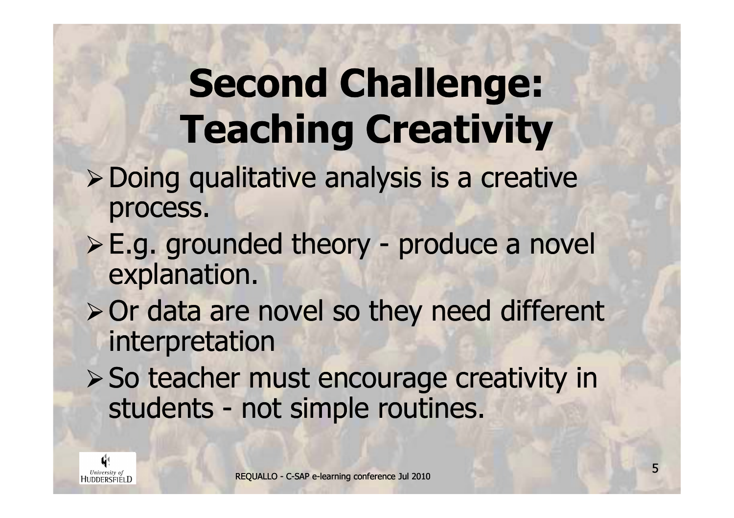# Second Challenge:Teaching Creativity

- Doing qualitative analysis is a creative process.
- E.g. grounded theory produce a novel explanation.
- $\triangleright$  Or data are novel so they need different interpretation
- > So teacher must encourage creativity in students - not simple routines.

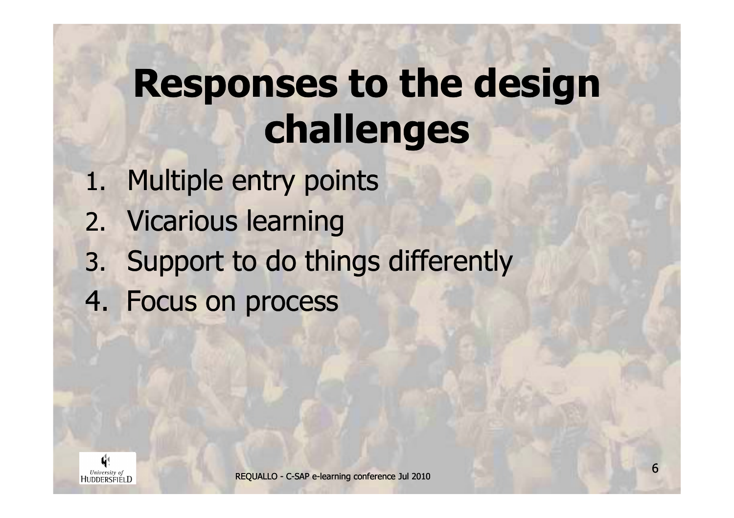# Responses to the design challenges

- 1. Multiple entry points
- 2. Vicarious learning
- 3. Support to do things differently
- 4. Focus on process

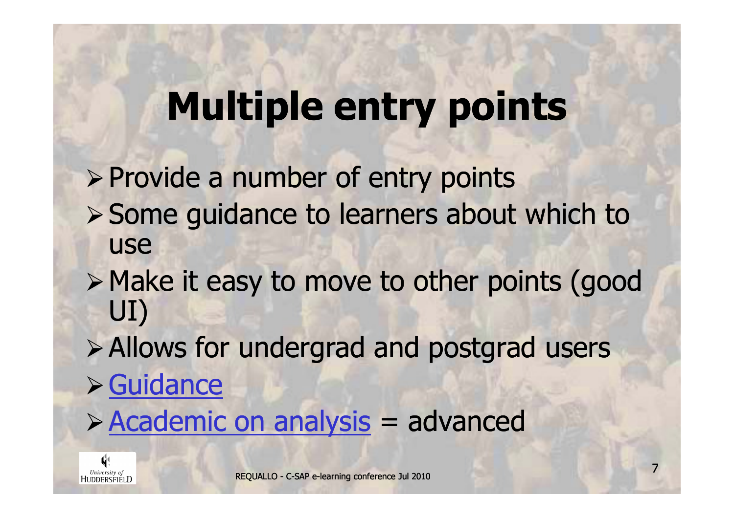#### Multiple entry points

- $\triangleright$  Provide a number of entry points Some guidance to learners about which to use
- Make it easy to move to other points (good UI)
- Allows for undergrad and postgrad usersGuidance
- > Academic on analysis = advanced

University of<br>HUDDERSFIELD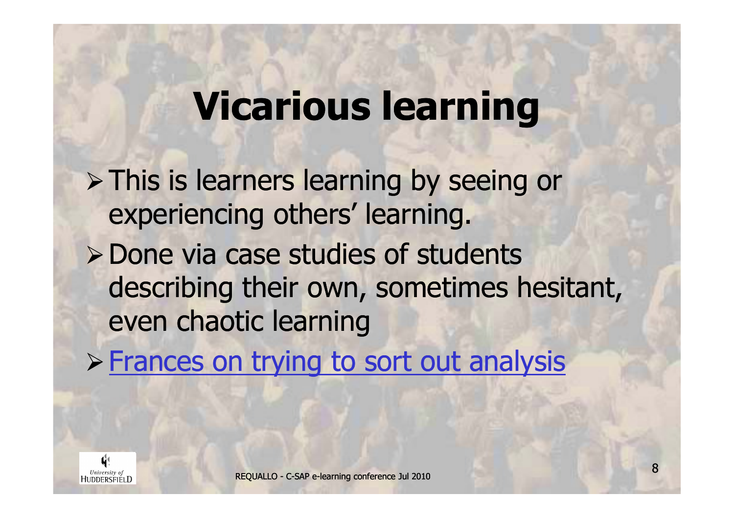#### Vicarious learning

> This is learners learning by seeing or experiencing others' learning.

**≻ Done via case studies of students** describing their own, sometimes hesitant, even chaotic learning

**> Frances on trying to sort out analysis** 

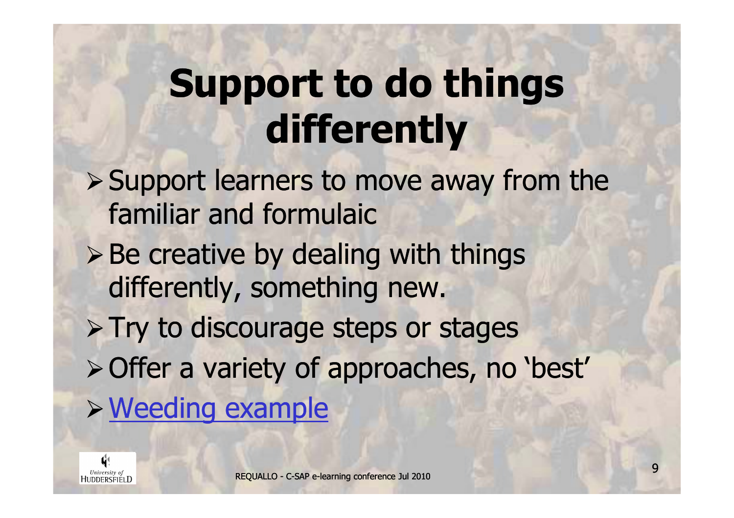# Support to do things differently

- ▶ Support learners to move away from the familiar and formulaic
- > Be creative by dealing with things differently, something new.
- > Try to discourage steps or stages
- Offer a variety of approaches, no 'best'
- Weeding example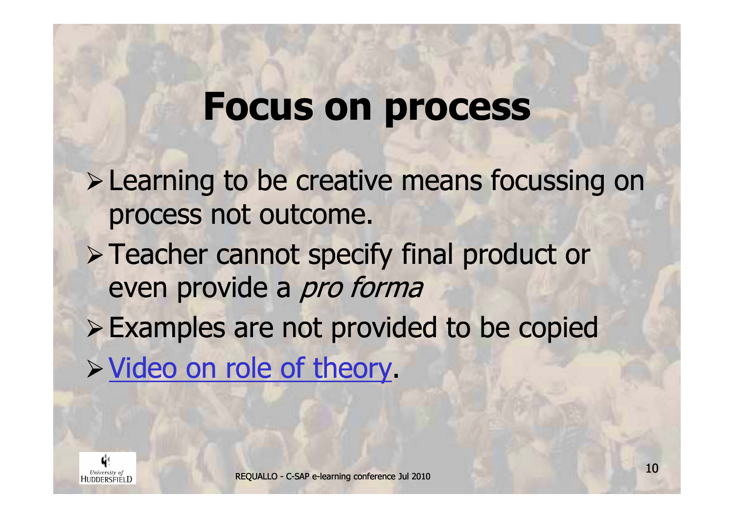#### Focus on process

- **Example 10 Figure 20 Figure 20 Figure 20 Figure 20 Figure 20 Figure 20 Figure 20 Figure 20 Figure 20 Figure 20** process not outcome.
- > Teacher cannot specify final product or even provide a pro forma
- Examples are not provided to be copiedVideo on role of theory.